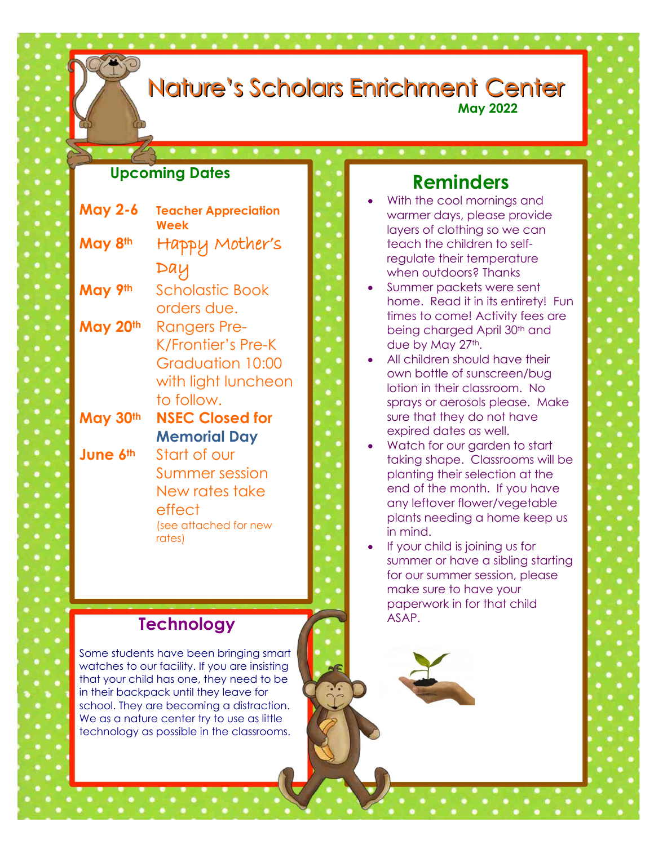# Nature's Scholars Enrichment Center

I

l

#### **May 2022**

#### **Upcoming Dates**

| <b>May 2-6</b> | <b>Teacher Appreciation</b><br>Week |
|----------------|-------------------------------------|
| May 8th        | Happy Mother's                      |
|                | Day                                 |
| May 9th        | Scholastic Book                     |
|                | orders due.                         |
| May 20th       | Rangers Pre-                        |
|                | K/Frontier's Pre-K                  |
|                | Graduation 10:00                    |
|                | with light luncheon                 |
|                | to follow.                          |
| May 30th       | <b>NSEC Closed for</b>              |
|                | <b>Memorial Day</b>                 |
| June 6th       | Start of our                        |
|                | Summer session                      |
|                | New rates take                      |
|                | effect                              |
|                | (see attached for new<br>rates)     |
|                |                                     |

#### **Technology**

Some students have been bringing smart watches to our facility. If you are insisting that your child has one, they need to be in their backpack until they leave for school. They are becoming a distraction. We as a nature center try to use as little technology as possible in the classrooms.

### **Reminders**

- With the cool mornings and warmer days, please provide layers of clothing so we can teach the children to selfregulate their temperature when outdoors? Thanks
- Summer packets were sent home. Read it in its entirety! Fun times to come! Activity fees are being charged April 30<sup>th</sup> and due by May 27th.
- All children should have their own bottle of sunscreen/bug lotion in their classroom. No sprays or aerosols please. Make sure that they do not have expired dates as well.
- Watch for our garden to start taking shape. Classrooms will be planting their selection at the end of the month. If you have any leftover flower/vegetable plants needing a home keep us in mind.
- If your child is joining us for summer or have a sibling starting for our summer session, please make sure to have your paperwork in for that child ASAP.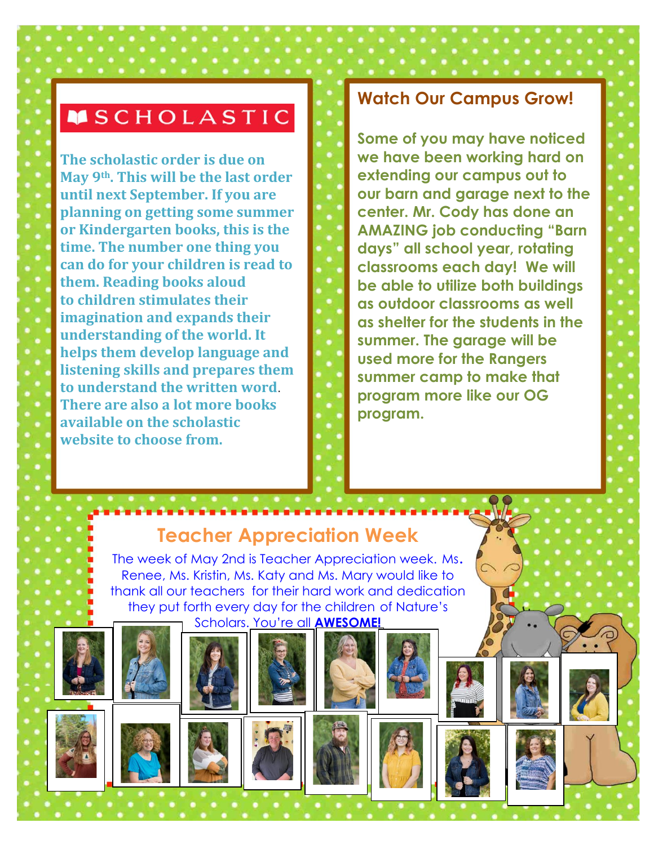## **MSCHOLASTIC**

**The scholastic order is due on May 9th. This will be the last order until next September. If you are planning on getting some summer or Kindergarten books, this is the time. The number one thing you can do for your children is read to them. Reading books aloud to children stimulates their imagination and expands their understanding of the world. It helps them develop language and listening skills and prepares them to understand the written word**. **There are also a lot more books available on the scholastic website to choose from.** 

#### **Watch Our Campus Grow!**

**Some of you may have noticed we have been working hard on extending our campus out to our barn and garage next to the center. Mr. Cody has done an AMAZING job conducting "Barn days" all school year, rotating classrooms each day! We will be able to utilize both buildings as outdoor classrooms as well as shelter for the students in the summer. The garage will be used more for the Rangers summer camp to make that program more like our OG program.** 

# **Teacher Appreciation Week**

The week of May 2nd is Teacher Appreciation week. Ms. Renee, Ms. Kristin, Ms. Katy and Ms. Mary would like to thank all our teachers for their hard work and dedication they put forth every day for the children of Nature's Scholars. You're all **AWESOME!**